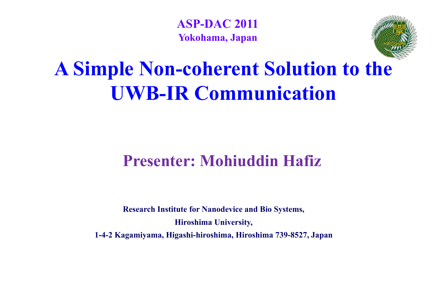**ASP-DAC 2011Yokohama, Japan**



## **A Simple Non-coherent Solution to the UWB-IR Communication**

## **Presenter: Mohiuddin Hafiz**

**Research Institute for Nanodevice and Bio Systems, Hiroshima University University, 1-4-2 Kagamiyama, Higashi-hiroshima, Hiroshima 739-8527, Japan**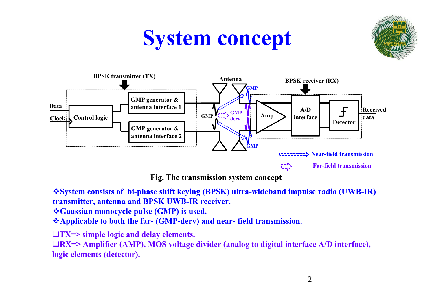## **System concept**





**Fig. The transmission system concept**

**System consists of bi-phase shift keying (BPSK) ultra-wideband impulse radio (UWB-IR) transmitter, antenna and BPSK UWB-IR receiver.**

**Gaussian monocycle pulse (GMP) is used.**

\*Applicable to both the far- (GMP-derv) and near-field transmission.

**TX=> simple logic and delay elements.**

**RX=> Amplifier (AMP), MOS voltage divider (analog to digital interface A/D interface), logic elements (detector).**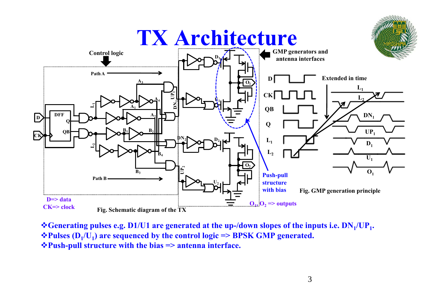

\*Generating pulses e.g. D1/U1 are generated at the up-/down slopes of the inputs i.e.  $DN_1/UP_1$ . *◆Pulses* **(D<sub>1</sub>/U<sub>1</sub>) are sequenced by the control logic => BPSK GMP generated. Push-pull structure with the bias => antenna interface.**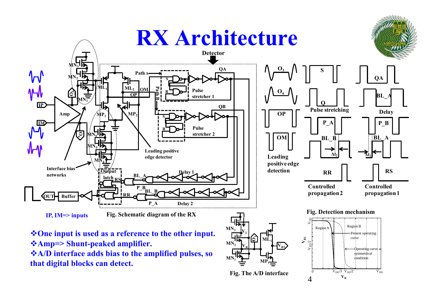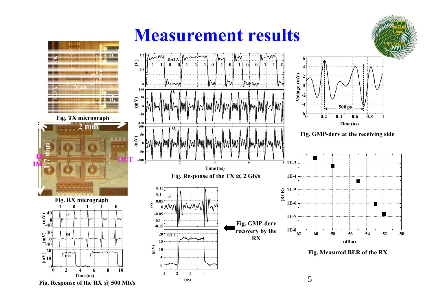